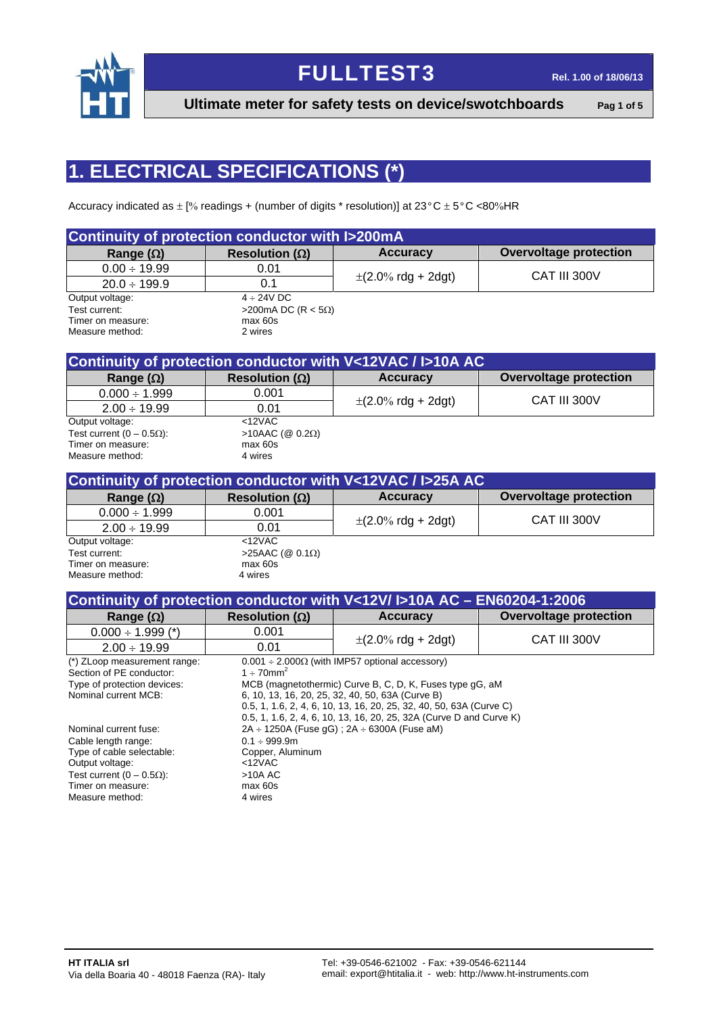

**Ultimate meter for safety tests on device/swotchboards** Pag 1 of 5

# **1. ELECTRICAL SPECIFICATIONS (\*)**

Accuracy indicated as  $\pm$  [% readings + (number of digits \* resolution)] at 23°C  $\pm$  5°C <80%HR

| Continuity of protection conductor with I>200mA |                            |                                          |                               |  |  |  |  |  |  |
|-------------------------------------------------|----------------------------|------------------------------------------|-------------------------------|--|--|--|--|--|--|
| Range $(\Omega)$                                | Resolution ( $\Omega$ )    | <b>Accuracy</b>                          | <b>Overvoltage protection</b> |  |  |  |  |  |  |
| $0.00 \div 19.99$                               | 0.01                       |                                          |                               |  |  |  |  |  |  |
| $20.0 \div 199.9$                               | 0.1                        | $\pm (2.0\% \text{ rdg} + 2 \text{dg}t)$ | CAT III 300V                  |  |  |  |  |  |  |
| Output voltage:                                 | $4 \div 24$ VDC            |                                          |                               |  |  |  |  |  |  |
| Test current:                                   | >200mA DC (R < $5\Omega$ ) |                                          |                               |  |  |  |  |  |  |
| Timer on measure:                               | max 60s                    |                                          |                               |  |  |  |  |  |  |
| Measure method:                                 | 2 wires                    |                                          |                               |  |  |  |  |  |  |

| Continuity of protection conductor with V<12VAC / I>10A AC |                             |                                          |                               |  |  |  |  |  |  |
|------------------------------------------------------------|-----------------------------|------------------------------------------|-------------------------------|--|--|--|--|--|--|
| Range $(\Omega)$                                           | Resolution ( $\Omega$ )     | <b>Accuracy</b>                          | <b>Overvoltage protection</b> |  |  |  |  |  |  |
| $0.000 \div 1.999$                                         | 0.001                       |                                          |                               |  |  |  |  |  |  |
| $2.00 \div 19.99$                                          | 0.01                        | $\pm (2.0\% \text{ rdg} + 2 \text{dg}t)$ | CAT III 300V                  |  |  |  |  |  |  |
| Output voltage:                                            | $<$ 12VAC                   |                                          |                               |  |  |  |  |  |  |
| Test current $(0 - 0.5\Omega)$ :                           | $>10$ AAC (@ 0.2 $\Omega$ ) |                                          |                               |  |  |  |  |  |  |
| Timer on measure:                                          | max 60s                     |                                          |                               |  |  |  |  |  |  |
| Measure method:                                            | 4 wires                     |                                          |                               |  |  |  |  |  |  |

| Continuity of protection conductor with V<12VAC / I>25A AC |                             |                                          |                        |  |  |  |  |  |  |
|------------------------------------------------------------|-----------------------------|------------------------------------------|------------------------|--|--|--|--|--|--|
| Range $(\Omega)$                                           | Resolution ( $\Omega$ )     | <b>Accuracy</b>                          | Overvoltage protection |  |  |  |  |  |  |
| $0.000 \div 1.999$                                         | 0.001                       |                                          | CAT III 300V           |  |  |  |  |  |  |
| $2.00 \div 19.99$                                          | 0.01                        | $\pm (2.0\% \text{ rdg} + 2 \text{dg}t)$ |                        |  |  |  |  |  |  |
| Output voltage:                                            | <12VAC                      |                                          |                        |  |  |  |  |  |  |
| Test current:                                              | >25AAC ( $@$ 0.1 $\Omega$ ) |                                          |                        |  |  |  |  |  |  |
| Timer on measure:                                          | max 60s                     |                                          |                        |  |  |  |  |  |  |
| Measure method:                                            | 4 wires                     |                                          |                        |  |  |  |  |  |  |

| Continuity of protection conductor with V<12V/I>10A AC - EN60204-1:2006 |                             |                                                                     |                               |  |  |  |  |  |
|-------------------------------------------------------------------------|-----------------------------|---------------------------------------------------------------------|-------------------------------|--|--|--|--|--|
| Range $(\Omega)$                                                        | Resolution ( $\Omega$ )     | <b>Accuracy</b>                                                     | <b>Overvoltage protection</b> |  |  |  |  |  |
| $0.000 \div 1.999$ (*)                                                  | 0.001                       |                                                                     |                               |  |  |  |  |  |
| $2.00 \div 19.99$                                                       | 0.01                        | $\pm$ (2.0% rdg + 2dgt)                                             | CAT III 300V                  |  |  |  |  |  |
| (*) ZLoop measurement range:                                            |                             | $0.001 \div 2.000\Omega$ (with IMP57 optional accessory)            |                               |  |  |  |  |  |
| Section of PE conductor:                                                | $1 \div 70$ mm <sup>2</sup> |                                                                     |                               |  |  |  |  |  |
| Type of protection devices:                                             |                             | MCB (magnetothermic) Curve B, C, D, K, Fuses type gG, aM            |                               |  |  |  |  |  |
| Nominal current MCB:                                                    |                             | 6, 10, 13, 16, 20, 25, 32, 40, 50, 63A (Curve B)                    |                               |  |  |  |  |  |
|                                                                         |                             | 0.5, 1, 1.6, 2, 4, 6, 10, 13, 16, 20, 25, 32, 40, 50, 63A (Curve C) |                               |  |  |  |  |  |
|                                                                         |                             | 0.5, 1, 1.6, 2, 4, 6, 10, 13, 16, 20, 25, 32A (Curve D and Curve K) |                               |  |  |  |  |  |
| Nominal current fuse:                                                   |                             | $2A \div 1250A$ (Fuse qG) : $2A \div 6300A$ (Fuse aM)               |                               |  |  |  |  |  |
| Cable length range:                                                     | $0.1 \div 999.9m$           |                                                                     |                               |  |  |  |  |  |
| Type of cable selectable:                                               | Copper, Aluminum            |                                                                     |                               |  |  |  |  |  |
| Output voltage:                                                         | <12VAC                      |                                                                     |                               |  |  |  |  |  |
| Test current $(0 - 0.5\Omega)$ :                                        | >10A AC                     |                                                                     |                               |  |  |  |  |  |
| Timer on measure:                                                       | max 60s                     |                                                                     |                               |  |  |  |  |  |
| Measure method:                                                         | 4 wires                     |                                                                     |                               |  |  |  |  |  |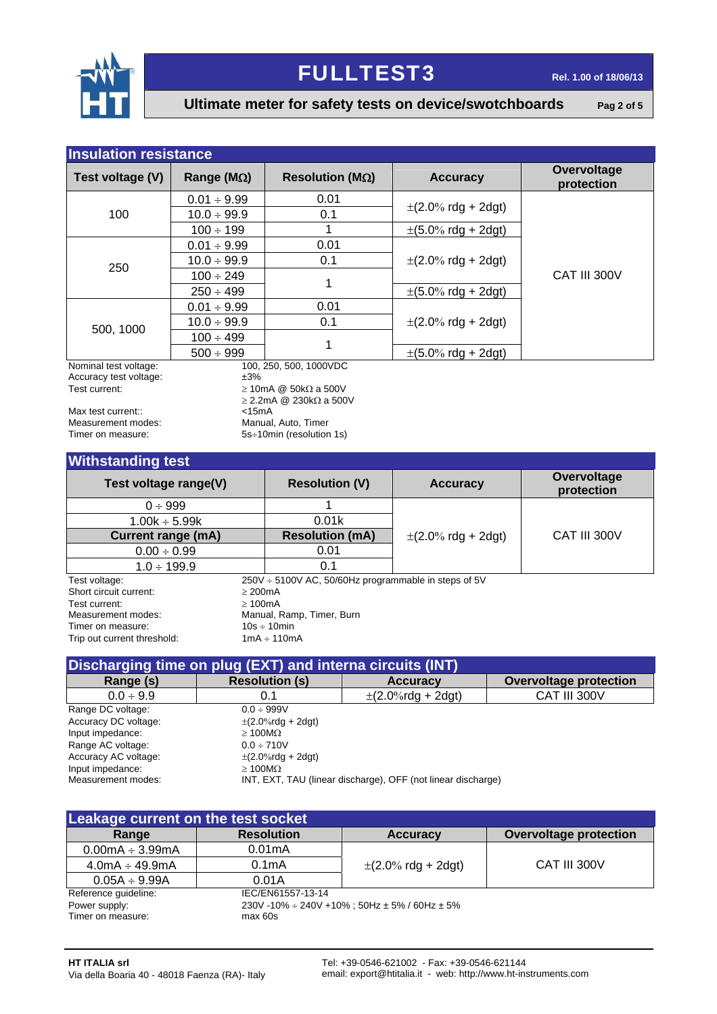

**Ultimate meter for safety tests on device/swotchboards** Pag 2 of 5

| <b>Insulation resistance</b>                    |                     |                                   |                                          |                           |  |  |  |
|-------------------------------------------------|---------------------|-----------------------------------|------------------------------------------|---------------------------|--|--|--|
| Test voltage (V)                                | Range ( $M\Omega$ ) | Resolution ( $M\Omega$ )          | <b>Accuracy</b>                          | Overvoltage<br>protection |  |  |  |
|                                                 | $0.01 \div 9.99$    | 0.01                              |                                          |                           |  |  |  |
| 100                                             | $10.0 \div 99.9$    | 0.1                               | $\pm (2.0\% \text{ rdg} + 2 \text{dg}t)$ |                           |  |  |  |
|                                                 | $100 \div 199$      |                                   | $\pm (5.0\% \text{ rdg} + 2 \text{dg}t)$ |                           |  |  |  |
| 250                                             | $0.01 \div 9.99$    | 0.01                              |                                          |                           |  |  |  |
|                                                 | $10.0 \div 99.9$    | 0.1                               | $\pm (2.0\% \text{ rdg} + 2 \text{dg}t)$ |                           |  |  |  |
|                                                 | $100 \div 249$      | 1                                 |                                          | CAT III 300V              |  |  |  |
|                                                 | $250 \div 499$      |                                   | $\pm (5.0\% \text{ rdg} + 2 \text{dg}t)$ |                           |  |  |  |
|                                                 | $0.01 \div 9.99$    | 0.01                              |                                          |                           |  |  |  |
|                                                 | $10.0 \div 99.9$    | 0.1                               | $\pm (2.0\% \text{ rdg} + 2 \text{dg}t)$ |                           |  |  |  |
| 500, 1000                                       | $100 \div 499$      | 1                                 |                                          |                           |  |  |  |
|                                                 | $500 \div 999$      |                                   | $\pm (5.0\% \text{ rdg} + 2 \text{dg}t)$ |                           |  |  |  |
| Nominal test voltage:<br>Accuracy test voltage: | ±3%                 | 100, 250, 500, 1000VDC            |                                          |                           |  |  |  |
| Test current:                                   |                     | $\geq$ 10mA @ 50k $\Omega$ a 500V |                                          |                           |  |  |  |

Max test current::  $\overline{a}$  <15mA<br>Measurement modes:  $\overline{a}$  Manual Measurement modes: Manual, Auto, Timer<br>
Timer on measure: SS÷10min (resolution

 $\geq$  2.2mA @ 230k $\Omega$  a 500V 5s÷10min (resolution 1s)

### **Withstanding test**

| <b>THEFT</b>                |         |                                                      |                                          |                           |  |  |
|-----------------------------|---------|------------------------------------------------------|------------------------------------------|---------------------------|--|--|
| Test voltage range(V)       |         | <b>Resolution (V)</b>                                | <b>Accuracy</b>                          | Overvoltage<br>protection |  |  |
| $0 \div 999$                |         |                                                      |                                          |                           |  |  |
| $1.00k \div 5.99k$          |         | 0.01k                                                |                                          |                           |  |  |
| <b>Current range (mA)</b>   |         | <b>Resolution (mA)</b>                               | $\pm (2.0\% \text{ rdg} + 2 \text{dg}t)$ | CAT III 300V              |  |  |
| $0.00 \div 0.99$            |         | 0.01                                                 |                                          |                           |  |  |
| $1.0 \div 199.9$            |         | 0.1                                                  |                                          |                           |  |  |
| Test voltage:               |         | 250V ÷ 5100V AC, 50/60Hz programmable in steps of 5V |                                          |                           |  |  |
| Short circuit current:      | > 200mA |                                                      |                                          |                           |  |  |
| Test current:               | >100mA  |                                                      |                                          |                           |  |  |
| Measurement modes:          |         | Manual, Ramp, Timer, Burn                            |                                          |                           |  |  |
| Timer on measure:           |         | $10s \div 10min$                                     |                                          |                           |  |  |
| Trip out current threshold: |         | $1mA \div 110mA$                                     |                                          |                           |  |  |

| Discharging time on plug (EXT) and interna circuits (INT) |                                                              |                          |                        |  |  |  |  |  |
|-----------------------------------------------------------|--------------------------------------------------------------|--------------------------|------------------------|--|--|--|--|--|
| Range (s)                                                 | <b>Resolution (s)</b>                                        | <b>Accuracy</b>          | Overvoltage protection |  |  |  |  |  |
| $0.0 \div 9.9$                                            | 0.1                                                          | $\pm (2.0\%$ rdg + 2dgt) | CAT III 300V           |  |  |  |  |  |
| Range DC voltage:                                         | $0.0 \div 999V$                                              |                          |                        |  |  |  |  |  |
| Accuracy DC voltage:                                      | $\pm$ (2.0%rdg + 2dgt)                                       |                          |                        |  |  |  |  |  |
| Input impedance:                                          | $\geq 100 \text{M}\Omega$                                    |                          |                        |  |  |  |  |  |
| Range AC voltage:                                         | $0.0 \div 710V$                                              |                          |                        |  |  |  |  |  |
| Accuracy AC voltage:                                      | $\pm$ (2.0%rdg + 2dgt)                                       |                          |                        |  |  |  |  |  |
| Input impedance:                                          | $>100M\Omega$                                                |                          |                        |  |  |  |  |  |
| Measurement modes:                                        | INT, EXT, TAU (linear discharge), OFF (not linear discharge) |                          |                        |  |  |  |  |  |

| Leakage current on the test socket |                                                                |                                          |                        |  |  |  |  |
|------------------------------------|----------------------------------------------------------------|------------------------------------------|------------------------|--|--|--|--|
| Range                              | <b>Resolution</b>                                              | <b>Accuracy</b>                          | Overvoltage protection |  |  |  |  |
| $0.00mA \div 3.99mA$               | 0.01mA                                                         |                                          |                        |  |  |  |  |
| $4.0mA \div 49.9mA$                | 0.1 <sub>m</sub> A                                             | $\pm (2.0\% \text{ rdg} + 2 \text{dg}t)$ | CAT III 300V           |  |  |  |  |
| $0.05A \div 9.99A$                 | 0.01A                                                          |                                          |                        |  |  |  |  |
| Reference guideline:               | IEC/EN61557-13-14                                              |                                          |                        |  |  |  |  |
| Power supply:                      | $230V - 10\% \div 240V + 10\%$ ; 50Hz $\pm$ 5% / 60Hz $\pm$ 5% |                                          |                        |  |  |  |  |
| Timer on measure:                  | max 60s                                                        |                                          |                        |  |  |  |  |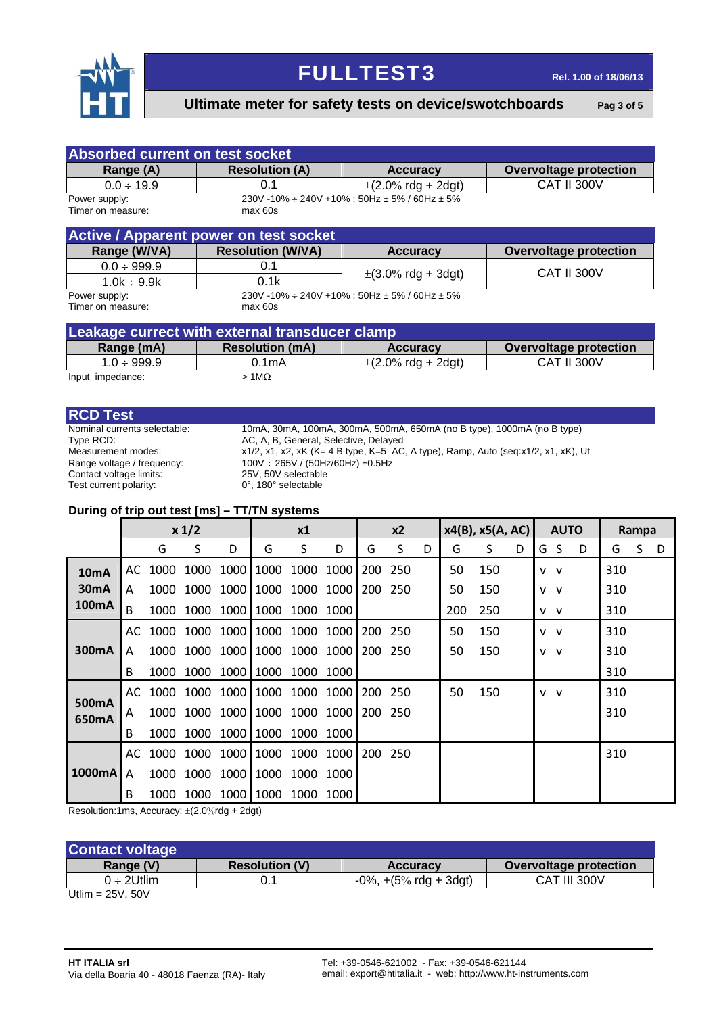

**Ultimate meter for safety tests on device/swotchboards** Pag 3 of 5

| <b>Absorbed current on test socket</b>         |                                               |                                                                |                               |  |  |  |  |
|------------------------------------------------|-----------------------------------------------|----------------------------------------------------------------|-------------------------------|--|--|--|--|
| Range (A)                                      | <b>Resolution (A)</b>                         | <b>Accuracy</b>                                                | <b>Overvoltage protection</b> |  |  |  |  |
| $0.0 \div 19.9$                                | 0.1                                           | $\pm$ (2.0% rdg + 2dgt)                                        | <b>CAT II 300V</b>            |  |  |  |  |
| Power supply:<br>Timer on measure:             | max 60s                                       | $230V - 10\% \div 240V + 10\%$ : 50Hz $\pm$ 5% / 60Hz $\pm$ 5% |                               |  |  |  |  |
|                                                | <b>Active / Apparent power on test socket</b> |                                                                |                               |  |  |  |  |
| Range (W/VA)                                   | <b>Resolution (W/VA)</b>                      | <b>Accuracy</b>                                                | <b>Overvoltage protection</b> |  |  |  |  |
| $0.0 \div 999.9$                               | 0.1                                           |                                                                | <b>CAT II 300V</b>            |  |  |  |  |
| $1.0k \div 9.9k$                               | 0.1k                                          | $\pm(3.0\% \text{ rdg} + 3\text{dg}t)$                         |                               |  |  |  |  |
| Power supply:<br>Timer on measure:             | max 60s                                       | 230V -10% ÷ 240V +10%; 50Hz ± 5% / 60Hz ± 5%                   |                               |  |  |  |  |
| Leakage currect with external transducer clamp |                                               |                                                                |                               |  |  |  |  |

| Leakage currect with external transqueer clamp |                        |                                          |                        |  |  |  |  |  |  |
|------------------------------------------------|------------------------|------------------------------------------|------------------------|--|--|--|--|--|--|
| Range (mA)                                     | <b>Resolution (mA)</b> | <b>Accuracy</b>                          | Overvoltage protection |  |  |  |  |  |  |
| $1.0 \div 999.9$                               | 0.1mA                  | $\pm (2.0\% \text{ rdg} + 2 \text{dgt})$ | <b>CAT II 300V</b>     |  |  |  |  |  |  |
| Input impedance:                               | $1M\Omega$             |                                          |                        |  |  |  |  |  |  |

**RCD Test**<br>**Nominal currents selectable:** Contact voltage limits: Test current polarity:

Nominal currents selectable: 10mA, 30mA, 100mA, 300mA, 500mA, 650mA (no B type), 1000mA (no B type)<br>Type RCD: AC, A, B, General, Selective, Delayed AC, A, B, General, Selective, Delayed Measurement modes: x1/2, x1, x2, xK (K= 4 B type, K=5 AC, A type), Ramp, Auto (seq:x1/2, x1, xK), Ut Range voltage / frequency:  $100V \div 265V / (50Hz/60Hz) \pm 0.5Hz$ <br>Contact voltage limits:  $25V$ ,  $50V$  selectable<br>Test current polarity:  $0^\circ$ ,  $180^\circ$  selectable

### **During of trip out test [ms] – TT/TN systems**

|                   | x 1/2 |      |           | x1 |                               | x2        |      | $x4(B)$ , $x5(A, AC)$ |         | <b>AUTO</b> |     | Rampa |   |       |  |   |     |   |   |
|-------------------|-------|------|-----------|----|-------------------------------|-----------|------|-----------------------|---------|-------------|-----|-------|---|-------|--|---|-----|---|---|
|                   |       | G    | S         | D  | G                             | S         | D    | G                     | S       | D           | G   | S.    | D | G S   |  | D | G   | S | D |
| 10 <sub>m</sub> A | AC    | 1000 | 1000      |    | 1000 1000                     | 1000      | 1000 | 200 250               |         |             | 50  | 150   |   | V V   |  |   | 310 |   |   |
| 30 <sub>m</sub> A | A     |      |           |    | 1000 1000 1000 1000 1000 1000 |           |      |                       | 200 250 |             | 50  | 150   |   | V V   |  |   | 310 |   |   |
| 100mA             | B     | 1000 | 1000      |    | 1000 1000 1000 1000           |           |      |                       |         |             | 200 | 250   |   | V V   |  |   | 310 |   |   |
|                   | AC    | 1000 |           |    | 1000 1000 1000 1000 1000      |           |      | 200                   | -250    |             | 50  | 150   |   | V V   |  |   | 310 |   |   |
| 300mA             | A     | 1000 | 1000      |    | 1000 1000 1000 1000           |           |      | 200                   | 250     |             | 50  | 150   |   | v v   |  |   | 310 |   |   |
|                   | B     | 1000 | 1000      |    | 1000 1000 1000 1000           |           |      |                       |         |             |     |       |   |       |  |   | 310 |   |   |
|                   | AC.   |      | 1000 1000 |    | 1000 1000 1000 1000           |           |      | 200                   | -250    |             | 50  | 150   |   | $V$ V |  |   | 310 |   |   |
| 500mA<br>650mA    | A     | 1000 | 1000      |    | 1000 1000 1000 1000           |           |      | 200                   | -250    |             |     |       |   |       |  |   | 310 |   |   |
|                   | B     | 1000 | 1000      |    | 1000 1000 1000 1000           |           |      |                       |         |             |     |       |   |       |  |   |     |   |   |
|                   | AC.   | 1000 | 1000      |    | 1000 1000                     | 1000 1000 |      | 200                   | -250    |             |     |       |   |       |  |   | 310 |   |   |
| 1000mA            | A     | 1000 | 1000      |    | 1000 1000 1000 1000           |           |      |                       |         |             |     |       |   |       |  |   |     |   |   |
|                   | B     | 1000 | 1000      |    | 1000 1000                     | 1000 1000 |      |                       |         |             |     |       |   |       |  |   |     |   |   |

Resolution:1ms, Accuracy:  $\pm$ (2.0%rdg + 2dgt)

| <b>Contact voltage</b> |                       |                                             |                               |
|------------------------|-----------------------|---------------------------------------------|-------------------------------|
| Range (V)              | <b>Resolution (V)</b> | <b>Accuracy</b>                             | <b>Overvoltage protection</b> |
| $0 \div 2$ Utlim       |                       | $-0\%$ , $+(5\% \text{ rdq} + 3\text{dqt})$ | CAT III 300V                  |
| $I$ Him $= 251/501/$   |                       |                                             |                               |

Utlim = 25V, 50V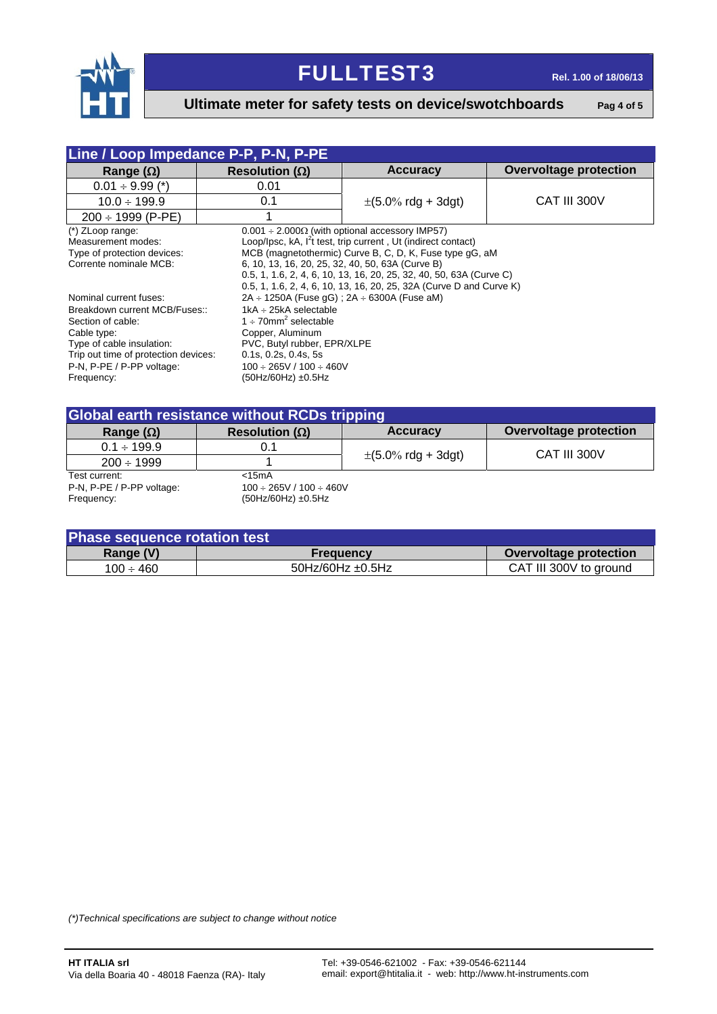

### **Ultimate meter for safety tests on device/swotchboards** Pag 4 of 5

| Line / Loop Impedance P-P, P-N, P-PE                                                                                                                                                                        |                                                                                                                                                        |                                                                                                                                                                                                                                                                                                                                                                                                    |                        |  |  |
|-------------------------------------------------------------------------------------------------------------------------------------------------------------------------------------------------------------|--------------------------------------------------------------------------------------------------------------------------------------------------------|----------------------------------------------------------------------------------------------------------------------------------------------------------------------------------------------------------------------------------------------------------------------------------------------------------------------------------------------------------------------------------------------------|------------------------|--|--|
| Range $(\Omega)$                                                                                                                                                                                            | Resolution ( $\Omega$ )                                                                                                                                | <b>Accuracy</b>                                                                                                                                                                                                                                                                                                                                                                                    | Overvoltage protection |  |  |
| $0.01 \div 9.99$ (*)                                                                                                                                                                                        | 0.01                                                                                                                                                   |                                                                                                                                                                                                                                                                                                                                                                                                    |                        |  |  |
| $10.0 \div 199.9$                                                                                                                                                                                           | 0.1                                                                                                                                                    | $\pm (5.0\% \text{ rdg} + 3 \text{dg} t)$                                                                                                                                                                                                                                                                                                                                                          | CAT III 300V           |  |  |
| $200 \div 1999$ (P-PE)                                                                                                                                                                                      |                                                                                                                                                        |                                                                                                                                                                                                                                                                                                                                                                                                    |                        |  |  |
| $(*)$ ZLoop range:<br>Measurement modes:<br>Type of protection devices:<br>Corrente nominale MCB:                                                                                                           |                                                                                                                                                        | $0.001 \div 2.000\Omega$ (with optional accessory IMP57)<br>Loop/Ipsc, kA, I <sup>2</sup> t test, trip current, Ut (indirect contact)<br>MCB (magnetothermic) Curve B, C, D, K, Fuse type qG, aM<br>6, 10, 13, 16, 20, 25, 32, 40, 50, 63A (Curve B)<br>0.5, 1, 1.6, 2, 4, 6, 10, 13, 16, 20, 25, 32, 40, 50, 63A (Curve C)<br>0.5, 1, 1.6, 2, 4, 6, 10, 13, 16, 20, 25, 32A (Curve D and Curve K) |                        |  |  |
| Nominal current fuses:<br>Breakdown current MCB/Fuses::<br>Section of cable:<br>Cable type:<br>Type of cable insulation:<br>Trip out time of protection devices:<br>P-N, P-PE / P-PP voltage:<br>Frequency: | $1kA \div 25kA$ selectable<br>1 $\div$ 70mm <sup>2</sup> selectable<br>Copper, Aluminum<br>$0.1$ s, $0.2$ s, $0.4$ s, $5$ s<br>$(50Hz/60Hz) \pm 0.5Hz$ | $2A \div 1250A$ (Fuse gG); $2A \div 6300A$ (Fuse aM)<br>PVC, Butyl rubber, EPR/XLPE<br>$100 \div 265V / 100 \div 460V$                                                                                                                                                                                                                                                                             |                        |  |  |

| <b>Global earth resistance without RCDs tripping</b> |                                 |                                          |                        |  |  |
|------------------------------------------------------|---------------------------------|------------------------------------------|------------------------|--|--|
| Range $(\Omega)$                                     | Resolution ( $\Omega$ )         | <b>Accuracy</b>                          | Overvoltage protection |  |  |
| $0.1 \div 199.9$                                     | 0.1                             | $\pm (5.0\% \text{ rdg} + 3 \text{dg}t)$ | CAT III 300V           |  |  |
| $200 \div 1999$                                      |                                 |                                          |                        |  |  |
| Test current:                                        | $<$ 15 $mA$                     |                                          |                        |  |  |
| P-N, P-PE / P-PP voltage:                            | $100 \div 265V / 100 \div 460V$ |                                          |                        |  |  |
| Frequency:                                           | $(50Hz/60Hz) \pm 0.5Hz$         |                                          |                        |  |  |

| Phase sequence rotation test |                          |                        |  |  |
|------------------------------|--------------------------|------------------------|--|--|
| Range (V)                    | <b>Frequency</b>         | Overvoltage protection |  |  |
| $100 \div 460$               | $50$ Hz/60Hz $\pm$ 0.5Hz | CAT III 300V to ground |  |  |

*(\*)Technical specifications are subject to change without notice*